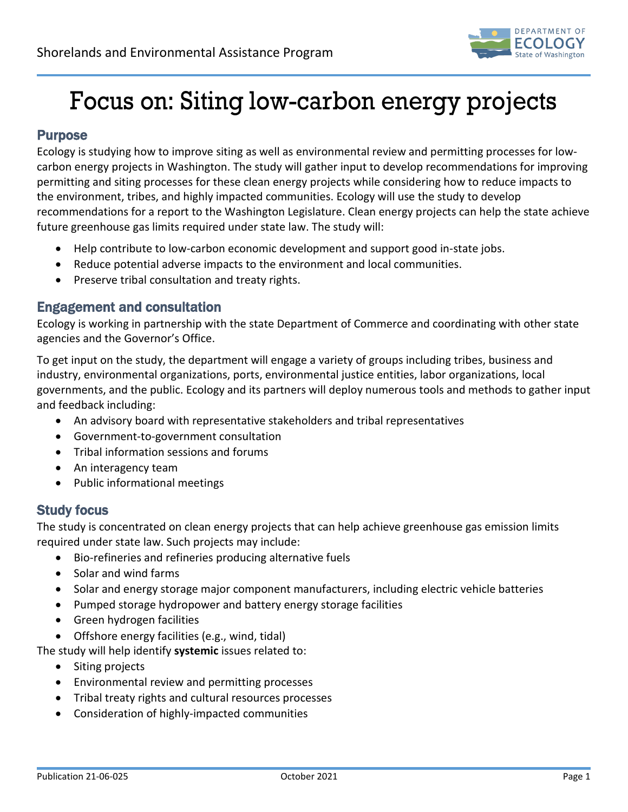

# Focus on: Siting low-carbon energy projects

### Purpose

Ecology is studying how to improve siting as well as environmental review and permitting processes for lowcarbon energy projects in Washington. The study will gather input to develop recommendations for improving permitting and siting processes for these clean energy projects while considering how to reduce impacts to the environment, tribes, and highly impacted communities. Ecology will use the study to develop recommendations for a report to the Washington Legislature. Clean energy projects can help the state achieve future greenhouse gas limits required under state law. The study will:

- Help contribute to low-carbon economic development and support good in-state jobs.
- Reduce potential adverse impacts to the environment and local communities.
- Preserve tribal consultation and treaty rights.

#### Engagement and consultation

Ecology is working in partnership with the state Department of Commerce and coordinating with other state agencies and the Governor's Office.

To get input on the study, the department will engage a variety of groups including tribes, business and industry, environmental organizations, ports, environmental justice entities, labor organizations, local governments, and the public. Ecology and its partners will deploy numerous tools and methods to gather input and feedback including:

- An advisory board with representative stakeholders and tribal representatives
- Government-to-government consultation
- Tribal information sessions and forums
- An interagency team
- Public informational meetings

#### Study focus

The study is concentrated on clean energy projects that can help achieve greenhouse gas emission limits required under state law. Such projects may include:

- Bio-refineries and refineries producing alternative fuels
- Solar and wind farms
- Solar and energy storage major component manufacturers, including electric vehicle batteries
- Pumped storage hydropower and battery energy storage facilities
- Green hydrogen facilities
- Offshore energy facilities (e.g., wind, tidal)

The study will help identify **systemic** issues related to:

- Siting projects
- Environmental review and permitting processes
- Tribal treaty rights and cultural resources processes
- Consideration of highly-impacted communities